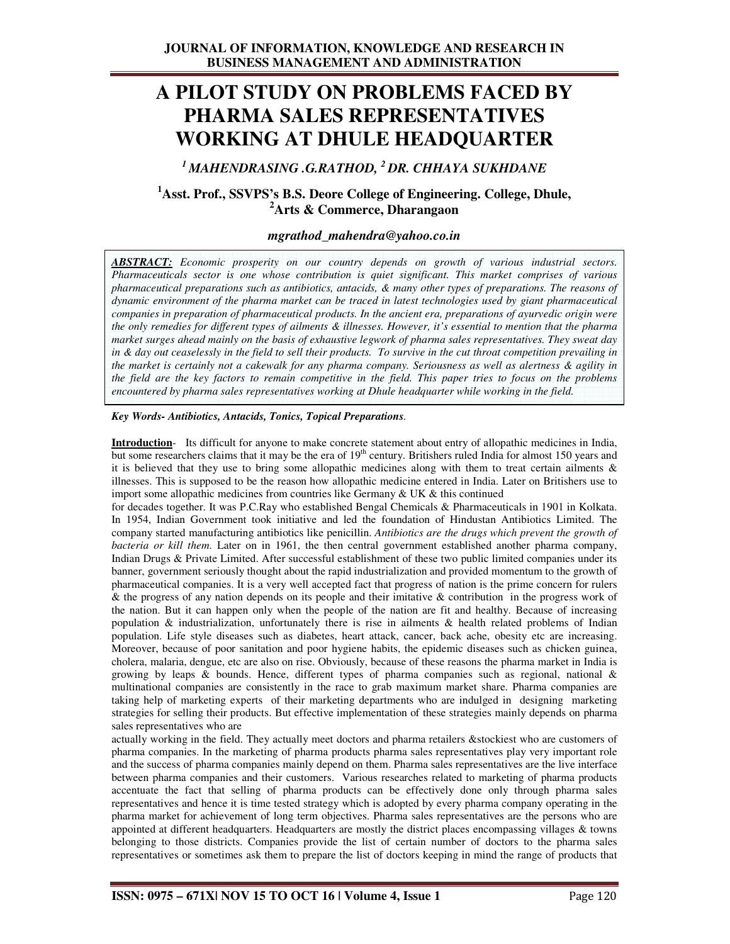# **A PILOT STUDY ON PROBLEMS FACED BY PHARMA SALES REPRESENTATIVES WORKING AT DHULE HEADQUARTER**

*<sup>1</sup>MAHENDRASING .G.RATHOD, <sup>2</sup>DR. CHHAYA SUKHDANE* 

# **<sup>1</sup>Asst. Prof., SSVPS's B.S. Deore College of Engineering. College, Dhule, <sup>2</sup>Arts & Commerce, Dharangaon**

# *mgrathod\_mahendra@yahoo.co.in*

*ABSTRACT: Economic prosperity on our country depends on growth of various industrial sectors. Pharmaceuticals sector is one whose contribution is quiet significant. This market comprises of various pharmaceutical preparations such as antibiotics, antacids, & many other types of preparations. The reasons of dynamic environment of the pharma market can be traced in latest technologies used by giant pharmaceutical companies in preparation of pharmaceutical products. In the ancient era, preparations of ayurvedic origin were the only remedies for different types of ailments & illnesses. However, it's essential to mention that the pharma market surges ahead mainly on the basis of exhaustive legwork of pharma sales representatives. They sweat day in & day out ceaselessly in the field to sell their products. To survive in the cut throat competition prevailing in the market is certainly not a cakewalk for any pharma company. Seriousness as well as alertness & agility in the field are the key factors to remain competitive in the field. This paper tries to focus on the problems encountered by pharma sales representatives working at Dhule headquarter while working in the field.* 

#### *Key Words- Antibiotics, Antacids, Tonics, Topical Preparations.*

**Introduction**- Its difficult for anyone to make concrete statement about entry of allopathic medicines in India, but some researchers claims that it may be the era of 19<sup>th</sup> century. Britishers ruled India for almost 150 years and it is believed that they use to bring some allopathic medicines along with them to treat certain ailments  $\&$ illnesses. This is supposed to be the reason how allopathic medicine entered in India. Later on Britishers use to import some allopathic medicines from countries like Germany  $& \text{UK} \& \text{ this continued}$ 

for decades together. It was P.C.Ray who established Bengal Chemicals & Pharmaceuticals in 1901 in Kolkata. In 1954, Indian Government took initiative and led the foundation of Hindustan Antibiotics Limited. The company started manufacturing antibiotics like penicillin. *Antibiotics are the drugs which prevent the growth of bacteria or kill them*. Later on in 1961, the then central government established another pharma company, Indian Drugs & Private Limited. After successful establishment of these two public limited companies under its banner, government seriously thought about the rapid industrialization and provided momentum to the growth of pharmaceutical companies. It is a very well accepted fact that progress of nation is the prime concern for rulers & the progress of any nation depends on its people and their imitative & contribution in the progress work of the nation. But it can happen only when the people of the nation are fit and healthy. Because of increasing population & industrialization, unfortunately there is rise in ailments & health related problems of Indian population. Life style diseases such as diabetes, heart attack, cancer, back ache, obesity etc are increasing. Moreover, because of poor sanitation and poor hygiene habits, the epidemic diseases such as chicken guinea, cholera, malaria, dengue, etc are also on rise. Obviously, because of these reasons the pharma market in India is growing by leaps & bounds. Hence, different types of pharma companies such as regional, national & multinational companies are consistently in the race to grab maximum market share. Pharma companies are taking help of marketing experts of their marketing departments who are indulged in designing marketing strategies for selling their products. But effective implementation of these strategies mainly depends on pharma sales representatives who are

actually working in the field. They actually meet doctors and pharma retailers &stockiest who are customers of pharma companies. In the marketing of pharma products pharma sales representatives play very important role and the success of pharma companies mainly depend on them. Pharma sales representatives are the live interface between pharma companies and their customers. Various researches related to marketing of pharma products accentuate the fact that selling of pharma products can be effectively done only through pharma sales representatives and hence it is time tested strategy which is adopted by every pharma company operating in the pharma market for achievement of long term objectives. Pharma sales representatives are the persons who are appointed at different headquarters. Headquarters are mostly the district places encompassing villages & towns belonging to those districts. Companies provide the list of certain number of doctors to the pharma sales representatives or sometimes ask them to prepare the list of doctors keeping in mind the range of products that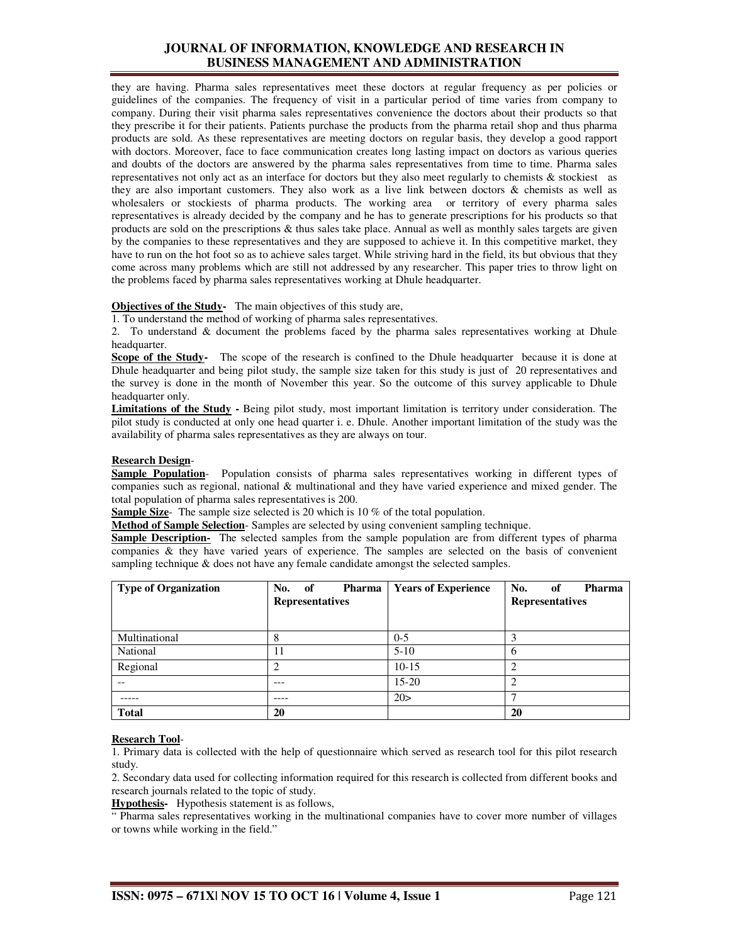they are having. Pharma sales representatives meet these doctors at regular frequency as per policies or guidelines of the companies. The frequency of visit in a particular period of time varies from company to company. During their visit pharma sales representatives convenience the doctors about their products so that they prescribe it for their patients. Patients purchase the products from the pharma retail shop and thus pharma products are sold. As these representatives are meeting doctors on regular basis, they develop a good rapport with doctors. Moreover, face to face communication creates long lasting impact on doctors as various queries and doubts of the doctors are answered by the pharma sales representatives from time to time. Pharma sales representatives not only act as an interface for doctors but they also meet regularly to chemists & stockiest as they are also important customers. They also work as a live link between doctors & chemists as well as wholesalers or stockiests of pharma products. The working area or territory of every pharma sales representatives is already decided by the company and he has to generate prescriptions for his products so that products are sold on the prescriptions & thus sales take place. Annual as well as monthly sales targets are given by the companies to these representatives and they are supposed to achieve it. In this competitive market, they have to run on the hot foot so as to achieve sales target. While striving hard in the field, its but obvious that they come across many problems which are still not addressed by any researcher. This paper tries to throw light on the problems faced by pharma sales representatives working at Dhule headquarter.

#### **Objectives of the Study-** The main objectives of this study are,

1. To understand the method of working of pharma sales representatives.

2. To understand & document the problems faced by the pharma sales representatives working at Dhule headquarter.

**Scope of the Study-** The scope of the research is confined to the Dhule headquarter because it is done at Dhule headquarter and being pilot study, the sample size taken for this study is just of 20 representatives and the survey is done in the month of November this year. So the outcome of this survey applicable to Dhule headquarter only.

**Limitations of the Study -** Being pilot study, most important limitation is territory under consideration. The pilot study is conducted at only one head quarter i. e. Dhule. Another important limitation of the study was the availability of pharma sales representatives as they are always on tour.

#### **Research Design**-

**Sample Population**- Population consists of pharma sales representatives working in different types of companies such as regional, national & multinational and they have varied experience and mixed gender. The total population of pharma sales representatives is 200.

**Sample Size**- The sample size selected is 20 which is 10 % of the total population.

**Method of Sample Selection**- Samples are selected by using convenient sampling technique.

**Sample Description-** The selected samples from the sample population are from different types of pharma companies & they have varied years of experience. The samples are selected on the basis of convenient sampling technique & does not have any female candidate amongst the selected samples.

| <b>Type of Organization</b> | No. of<br>Pharma<br><b>Representatives</b> | <b>Years of Experience</b> | No.<br><b>Pharma</b><br>0f<br><b>Representatives</b> |
|-----------------------------|--------------------------------------------|----------------------------|------------------------------------------------------|
| Multinational               | Λ                                          | $0 - 5$                    |                                                      |
| National                    | 11                                         | $5 - 10$                   | 6                                                    |
| Regional                    |                                            | $10 - 15$                  | ◠                                                    |
|                             | ---                                        | $15-20$                    | ◠                                                    |
|                             |                                            | 20>                        |                                                      |
| <b>Total</b>                | 20                                         |                            | 20                                                   |

#### **Research Tool**-

1. Primary data is collected with the help of questionnaire which served as research tool for this pilot research study.

2. Secondary data used for collecting information required for this research is collected from different books and research journals related to the topic of study.

**Hypothesis-** Hypothesis statement is as follows,

" Pharma sales representatives working in the multinational companies have to cover more number of villages or towns while working in the field."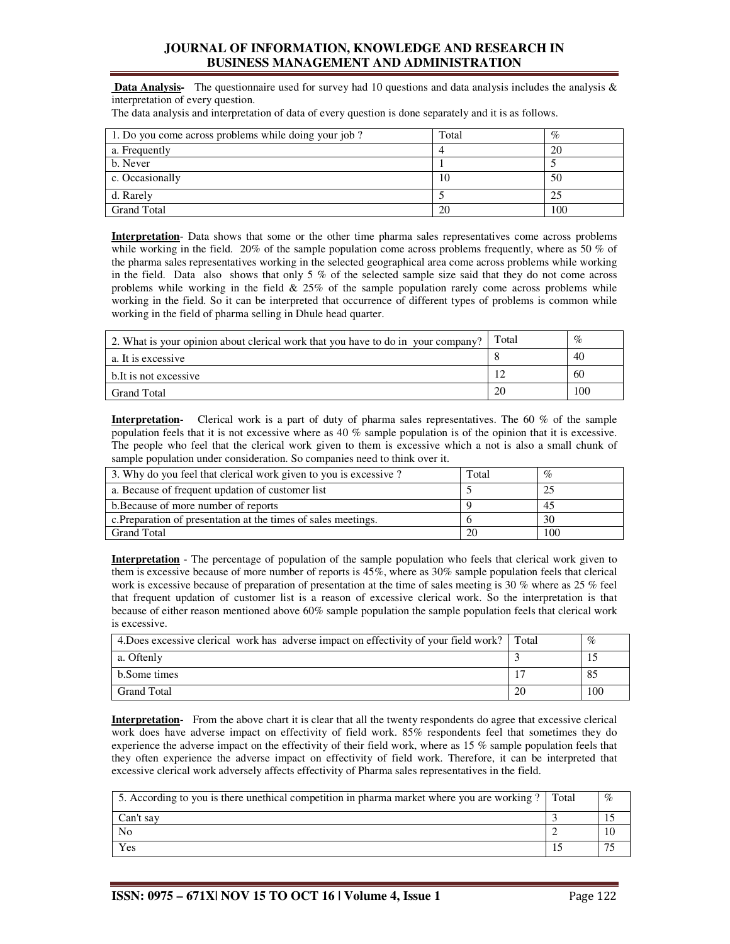**Data Analysis-** The questionnaire used for survey had 10 questions and data analysis includes the analysis & interpretation of every question.

| The data analysis and interpretation of data of every question is done separately and it is as follows. |  |  |  |
|---------------------------------------------------------------------------------------------------------|--|--|--|
|                                                                                                         |  |  |  |

| 1. Do you come across problems while doing your job? | Total | $\%$ |
|------------------------------------------------------|-------|------|
| a. Frequently                                        |       | 20   |
| b. Never                                             |       |      |
| c. Occasionally                                      | 10    | 50   |
| d. Rarely                                            |       |      |
| <b>Grand Total</b>                                   | 20    | 100  |

**Interpretation**- Data shows that some or the other time pharma sales representatives come across problems while working in the field. 20% of the sample population come across problems frequently, where as 50 % of the pharma sales representatives working in the selected geographical area come across problems while working in the field. Data also shows that only 5 % of the selected sample size said that they do not come across problems while working in the field  $\&$  25% of the sample population rarely come across problems while working in the field. So it can be interpreted that occurrence of different types of problems is common while working in the field of pharma selling in Dhule head quarter.

| 2. What is your opinion about clerical work that you have to do in your company? | Total | $\%$ |
|----------------------------------------------------------------------------------|-------|------|
| a. It is excessive                                                               |       | 40   |
| b. It is not excessive                                                           |       | 60   |
| Grand Total                                                                      | 20    | 100  |

**Interpretation-** Clerical work is a part of duty of pharma sales representatives. The 60 % of the sample population feels that it is not excessive where as 40 % sample population is of the opinion that it is excessive. The people who feel that the clerical work given to them is excessive which a not is also a small chunk of sample population under consideration. So companies need to think over it.

| 3. Why do you feel that clerical work given to you is excessive? | Total | $\%$ |
|------------------------------------------------------------------|-------|------|
| a. Because of frequent updation of customer list                 |       |      |
| b. Because of more number of reports                             |       | 45   |
| c. Preparation of presentation at the times of sales meetings.   |       | 30   |
| <b>Grand Total</b>                                               | 20    | 100  |

**Interpretation** - The percentage of population of the sample population who feels that clerical work given to them is excessive because of more number of reports is 45%, where as 30% sample population feels that clerical work is excessive because of preparation of presentation at the time of sales meeting is 30 % where as 25 % feel that frequent updation of customer list is a reason of excessive clerical work. So the interpretation is that because of either reason mentioned above 60% sample population the sample population feels that clerical work is excessive.

| 4. Does excessive clerical work has adverse impact on effectivity of your field work? Total |    | $\%$ |
|---------------------------------------------------------------------------------------------|----|------|
| a. Oftenly                                                                                  |    |      |
| b.Some times                                                                                |    |      |
| Grand Total                                                                                 | 20 | 100  |

**Interpretation-** From the above chart it is clear that all the twenty respondents do agree that excessive clerical work does have adverse impact on effectivity of field work. 85% respondents feel that sometimes they do experience the adverse impact on the effectivity of their field work, where as 15 % sample population feels that they often experience the adverse impact on effectivity of field work. Therefore, it can be interpreted that excessive clerical work adversely affects effectivity of Pharma sales representatives in the field.

| 5. According to you is there unethical competition in pharma market where you are working? Total | $\%$ |
|--------------------------------------------------------------------------------------------------|------|
| Can't say                                                                                        |      |
| N <sub>o</sub>                                                                                   |      |
| Yes                                                                                              |      |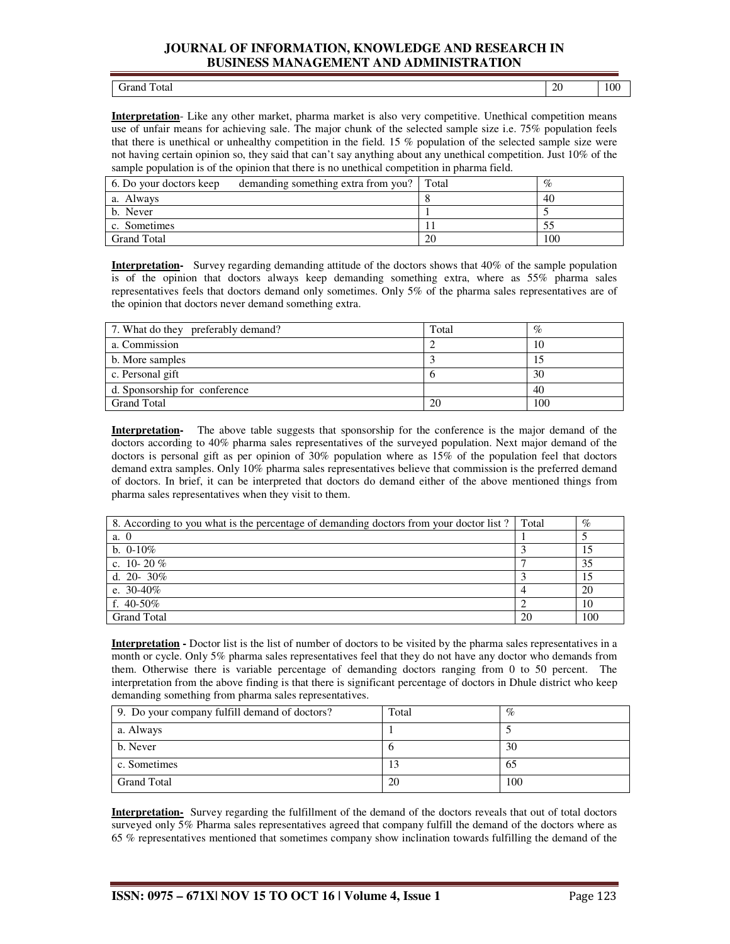| эгл<br>------- - - ---- | $\Delta$<br>$\sim$ | 100 |
|-------------------------|--------------------|-----|

**Interpretation**- Like any other market, pharma market is also very competitive. Unethical competition means use of unfair means for achieving sale. The major chunk of the selected sample size i.e. 75% population feels that there is unethical or unhealthy competition in the field. 15 % population of the selected sample size were not having certain opinion so, they said that can't say anything about any unethical competition. Just 10% of the sample population is of the opinion that there is no unethical competition in pharma field.

| 6. Do your doctors keep | demanding something extra from you? Total |    | $\%$ |
|-------------------------|-------------------------------------------|----|------|
| a. Always               |                                           |    | 40   |
| b. Never                |                                           |    |      |
| c. Sometimes            |                                           |    |      |
| <b>Grand Total</b>      |                                           | 20 | 100  |

**Interpretation-** Survey regarding demanding attitude of the doctors shows that 40% of the sample population is of the opinion that doctors always keep demanding something extra, where as 55% pharma sales representatives feels that doctors demand only sometimes. Only 5% of the pharma sales representatives are of the opinion that doctors never demand something extra.

| 7. What do they preferably demand? | Total | $\%$ |
|------------------------------------|-------|------|
| a. Commission                      |       | 10   |
| b. More samples                    |       | 15   |
| c. Personal gift                   |       | 30   |
| d. Sponsorship for conference      |       | 40   |
| <b>Grand Total</b>                 | 20    | 100  |

**Interpretation-** The above table suggests that sponsorship for the conference is the major demand of the doctors according to 40% pharma sales representatives of the surveyed population. Next major demand of the doctors is personal gift as per opinion of 30% population where as 15% of the population feel that doctors demand extra samples. Only 10% pharma sales representatives believe that commission is the preferred demand of doctors. In brief, it can be interpreted that doctors do demand either of the above mentioned things from pharma sales representatives when they visit to them.

| 8. According to you what is the percentage of demanding doctors from your doctor list? | Total | $\%$ |
|----------------------------------------------------------------------------------------|-------|------|
| a. 0                                                                                   |       |      |
| b. $0-10\%$                                                                            |       | 15   |
| c. 10-20 $%$                                                                           |       | 35   |
| d. 20- 30%                                                                             |       | 15   |
| e. $30-40\%$                                                                           |       | 20   |
| f. $40-50\%$                                                                           |       | 10   |
| <b>Grand Total</b>                                                                     | 20    | 100  |

**Interpretation -** Doctor list is the list of number of doctors to be visited by the pharma sales representatives in a month or cycle. Only 5% pharma sales representatives feel that they do not have any doctor who demands from them. Otherwise there is variable percentage of demanding doctors ranging from 0 to 50 percent. The interpretation from the above finding is that there is significant percentage of doctors in Dhule district who keep demanding something from pharma sales representatives.

| 9. Do your company fulfill demand of doctors? | Total | $\%$ |
|-----------------------------------------------|-------|------|
| a. Always                                     |       |      |
| b. Never                                      |       | 30   |
| c. Sometimes                                  |       | 65   |
| <b>Grand Total</b>                            | 20    | 100  |

**Interpretation-** Survey regarding the fulfillment of the demand of the doctors reveals that out of total doctors surveyed only 5% Pharma sales representatives agreed that company fulfill the demand of the doctors where as 65 % representatives mentioned that sometimes company show inclination towards fulfilling the demand of the